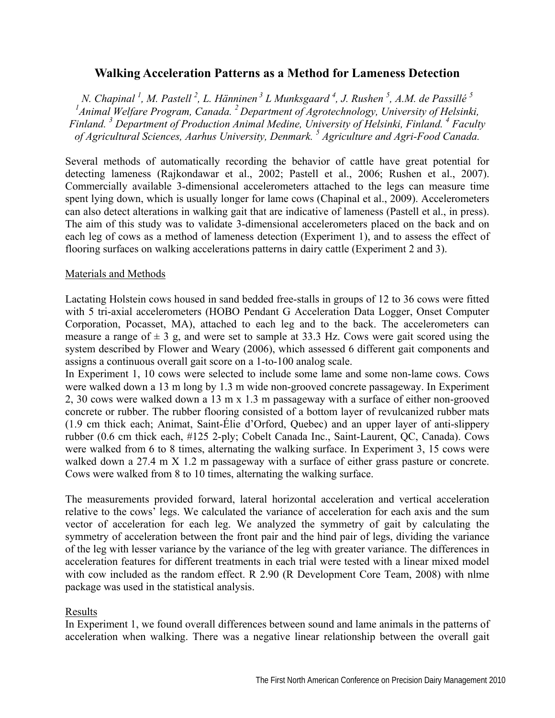# **Walking Acceleration Patterns as a Method for Lameness Detection**

*N. Chapinal <sup>1</sup> , M. Pastell 2 , L. Hänninen 3 L Munksgaard 4 , J. Rushen 5 , A.M. de Passillé <sup>5</sup> 1 Animal Welfare Program, Canada. 2 Department of Agrotechnology, University of Helsinki, Finland. 3 Department of Production Animal Medine, University of Helsinki, Finland. 4 Faculty of Agricultural Sciences, Aarhus University, Denmark. <sup>5</sup> Agriculture and Agri-Food Canada.*

Several methods of automatically recording the behavior of cattle have great potential for detecting lameness (Rajkondawar et al., 2002; Pastell et al., 2006; Rushen et al., 2007). Commercially available 3-dimensional accelerometers attached to the legs can measure time spent lying down, which is usually longer for lame cows (Chapinal et al., 2009). Accelerometers can also detect alterations in walking gait that are indicative of lameness (Pastell et al., in press). The aim of this study was to validate 3-dimensional accelerometers placed on the back and on each leg of cows as a method of lameness detection (Experiment 1), and to assess the effect of flooring surfaces on walking accelerations patterns in dairy cattle (Experiment 2 and 3).

## Materials and Methods

Lactating Holstein cows housed in sand bedded free-stalls in groups of 12 to 36 cows were fitted with 5 tri-axial accelerometers (HOBO Pendant G Acceleration Data Logger, Onset Computer Corporation, Pocasset, MA), attached to each leg and to the back. The accelerometers can measure a range of  $\pm 3$  g, and were set to sample at 33.3 Hz. Cows were gait scored using the system described by Flower and Weary (2006), which assessed 6 different gait components and assigns a continuous overall gait score on a 1-to-100 analog scale.

In Experiment 1, 10 cows were selected to include some lame and some non-lame cows. Cows were walked down a 13 m long by 1.3 m wide non-grooved concrete passageway. In Experiment 2, 30 cows were walked down a 13 m x 1.3 m passageway with a surface of either non-grooved concrete or rubber. The rubber flooring consisted of a bottom layer of revulcanized rubber mats (1.9 cm thick each; Animat, Saint-Élie d'Orford, Quebec) and an upper layer of anti-slippery rubber (0.6 cm thick each, #125 2-ply; Cobelt Canada Inc., Saint-Laurent, QC, Canada). Cows were walked from 6 to 8 times, alternating the walking surface. In Experiment 3, 15 cows were walked down a 27.4 m X 1.2 m passageway with a surface of either grass pasture or concrete. Cows were walked from 8 to 10 times, alternating the walking surface.

The measurements provided forward, lateral horizontal acceleration and vertical acceleration relative to the cows' legs. We calculated the variance of acceleration for each axis and the sum vector of acceleration for each leg. We analyzed the symmetry of gait by calculating the symmetry of acceleration between the front pair and the hind pair of legs, dividing the variance of the leg with lesser variance by the variance of the leg with greater variance. The differences in acceleration features for different treatments in each trial were tested with a linear mixed model with cow included as the random effect. R 2.90 (R Development Core Team, 2008) with nlme package was used in the statistical analysis.

## Results

In Experiment 1, we found overall differences between sound and lame animals in the patterns of acceleration when walking. There was a negative linear relationship between the overall gait